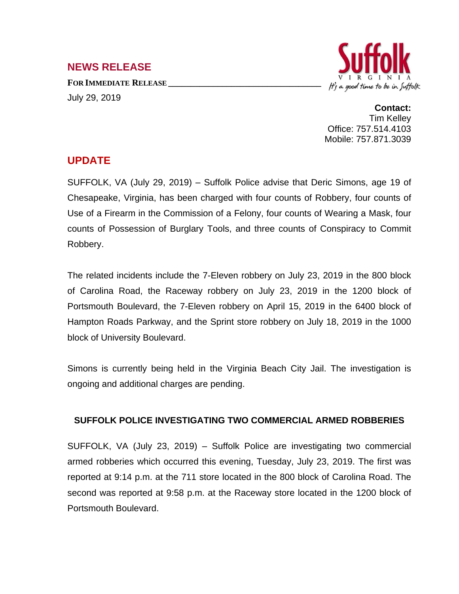## **NEWS RELEASE**

**FOR IMMEDIATE RELEASE \_\_\_\_\_\_\_\_\_\_\_\_\_\_\_\_\_\_\_\_\_\_\_\_\_\_\_\_\_\_\_\_\_\_** July 29, 2019



**Contact:** Tim Kelley Office: 757.514.4103 Mobile: 757.871.3039

## **UPDATE**

SUFFOLK, VA (July 29, 2019) – Suffolk Police advise that Deric Simons, age 19 of Chesapeake, Virginia, has been charged with four counts of Robbery, four counts of Use of a Firearm in the Commission of a Felony, four counts of Wearing a Mask, four counts of Possession of Burglary Tools, and three counts of Conspiracy to Commit Robbery.

The related incidents include the 7-Eleven robbery on July 23, 2019 in the 800 block of Carolina Road, the Raceway robbery on July 23, 2019 in the 1200 block of Portsmouth Boulevard, the 7-Eleven robbery on April 15, 2019 in the 6400 block of Hampton Roads Parkway, and the Sprint store robbery on July 18, 2019 in the 1000 block of University Boulevard.

Simons is currently being held in the Virginia Beach City Jail. The investigation is ongoing and additional charges are pending.

## **SUFFOLK POLICE INVESTIGATING TWO COMMERCIAL ARMED ROBBERIES**

SUFFOLK, VA (July 23, 2019) – Suffolk Police are investigating two commercial armed robberies which occurred this evening, Tuesday, July 23, 2019. The first was reported at 9:14 p.m. at the 711 store located in the 800 block of Carolina Road. The second was reported at 9:58 p.m. at the Raceway store located in the 1200 block of Portsmouth Boulevard.